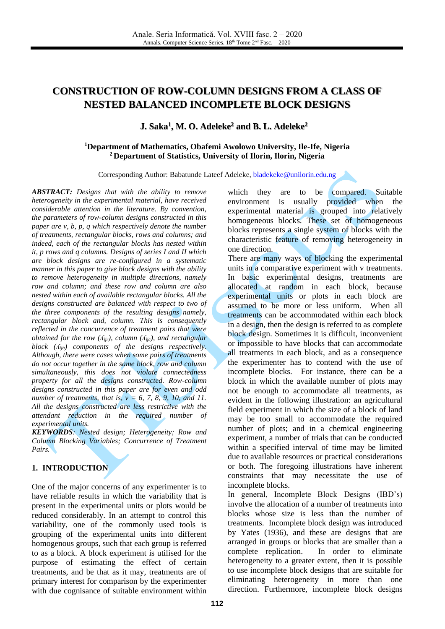# **CONSTRUCTION OF ROW-COLUMN DESIGNS FROM A CLASS OF NESTED BALANCED INCOMPLETE BLOCK DESIGNS**

**J. Saka<sup>1</sup> , M. O. Adeleke<sup>2</sup> and B. L. Adeleke<sup>2</sup>**

#### **<sup>1</sup>Department of Mathematics, Obafemi Awolowo University, Ile-Ife, Nigeria <sup>2</sup> Department of Statistics, University of Ilorin, Ilorin, Nigeria**

Corresponding Author: Babatunde Lateef Adeleke[, bladekeke@unilorin.edu.ng](mailto:bladekeke@unilorin.edu.ng)

*ABSTRACT: Designs that with the ability to remove heterogeneity in the experimental material, have received considerable attention in the literature. By convention, the parameters of row-column designs constructed in this paper are v, b, p, q which respectively denote the number of treatments, rectangular blocks, rows and columns; and indeed, each of the rectangular blocks has nested within it, p rows and q columns. Designs of series I and II which are block designs are re-configured in a systematic manner in this paper to give block designs with the ability to remove heterogeneity in multiple directions, namely row and column; and these row and column are also nested within each of available rectangular blocks. All the designs constructed are balanced with respect to two of the three components of the resulting designs namely, rectangular block and, column. This is consequently reflected in the concurrence of treatment pairs that were obtained for the row (ʎijr), column (ʎijc), and rectangular block (ʎijb) components of the designs respectively. Although, there were cases when some pairs of treatments do not occur together in the same block, row and column simultaneously, this does not violate connectedness property for all the designs constructed. Row-column designs constructed in this paper are for even and odd number of treatments, that is,*  $v = 6, 7, 8, 9, 10,$  *and 11. All the designs constructed are less restrictive with the attendant reduction in the required number of experimental units.*

*KEYWORDS: Nested design; Heterogeneity; Row and Column Blocking Variables; Concurrence of Treatment Pairs.*

#### **1. INTRODUCTION**

One of the major concerns of any experimenter is to have reliable results in which the variability that is present in the experimental units or plots would be reduced considerably. In an attempt to control this variability, one of the commonly used tools is grouping of the experimental units into different homogenous groups, such that each group is referred to as a block. A block experiment is utilised for the purpose of estimating the effect of certain treatments, and be that as it may, treatments are of primary interest for comparison by the experimenter with due cognisance of suitable environment within

which they are to be compared. Suitable environment is usually provided when the experimental material is grouped into relatively homogeneous blocks. These set of homogeneous blocks represents a single system of blocks with the characteristic feature of removing heterogeneity in one direction.

There are many ways of blocking the experimental units in a comparative experiment with v treatments. In basic experimental designs, treatments are allocated at random in each block, because experimental units or plots in each block are assumed to be more or less uniform. When all treatments can be accommodated within each block in a design, then the design is referred to as complete block design. Sometimes it is difficult, inconvenient or impossible to have blocks that can accommodate all treatments in each block, and as a consequence the experimenter has to contend with the use of incomplete blocks. For instance, there can be a block in which the available number of plots may not be enough to accommodate all treatments, as evident in the following illustration: an agricultural field experiment in which the size of a block of land may be too small to accommodate the required number of plots; and in a chemical engineering experiment, a number of trials that can be conducted within a specified interval of time may be limited due to available resources or practical considerations or both. The foregoing illustrations have inherent constraints that may necessitate the use of incomplete blocks.

In general, Incomplete Block Designs (IBD's) involve the allocation of a number of treatments into blocks whose size is less than the number of treatments. Incomplete block design was introduced by Yates (1936), and these are designs that are arranged in groups or blocks that are smaller than a complete replication. In order to eliminate heterogeneity to a greater extent, then it is possible to use incomplete block designs that are suitable for eliminating heterogeneity in more than one direction. Furthermore, incomplete block designs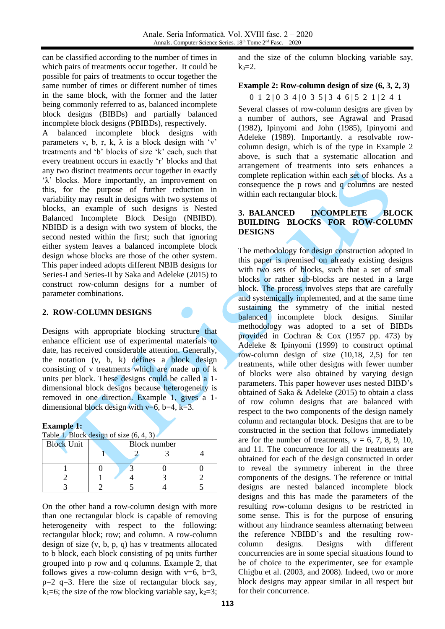can be classified according to the number of times in which pairs of treatments occur together. It could be possible for pairs of treatments to occur together the same number of times or different number of times in the same block, with the former and the latter being commonly referred to as, balanced incomplete block designs (BIBDs) and partially balanced incomplete block designs (PBIBDs), respectively.

A balanced incomplete block designs with parameters v, b, r, k,  $\lambda$  is a block design with 'v' treatments and 'b' blocks of size 'k' each, such that every treatment occurs in exactly 'r' blocks and that any two distinct treatments occur together in exactly 'λ' blocks. More importantly, an improvement on this, for the purpose of further reduction in variability may result in designs with two systems of blocks, an example of such designs is Nested Balanced Incomplete Block Design (NBIBD). NBIBD is a design with two system of blocks, the second nested within the first; such that ignoring either system leaves a balanced incomplete block design whose blocks are those of the other system. This paper indeed adopts different NBIB designs for Series-I and Series-II by Saka and Adeleke (2015) to construct row-column designs for a number of parameter combinations.

## **2. ROW-COLUMN DESIGNS**

Designs with appropriate blocking structure that enhance efficient use of experimental materials to date, has received considerable attention. Generally, the notation (v, b, k) defines a block design consisting of v treatments which are made up of k units per block. These designs could be called a 1 dimensional block designs because heterogeneity is removed in one direction. Example 1, gives a 1 dimensional block design with v=6, b=4, k=3.

#### **Example 1:**

|  |  | Table 1. Block design of size $(6, 4, 3)$ |
|--|--|-------------------------------------------|
|  |  |                                           |

| <b>Block Unit</b> | <b>Block number</b> |  |  |  |  |  |  |  |  |  |
|-------------------|---------------------|--|--|--|--|--|--|--|--|--|
|                   |                     |  |  |  |  |  |  |  |  |  |
|                   |                     |  |  |  |  |  |  |  |  |  |
|                   |                     |  |  |  |  |  |  |  |  |  |
|                   |                     |  |  |  |  |  |  |  |  |  |

On the other hand a row-column design with more than one rectangular block is capable of removing heterogeneity with respect to the following: rectangular block; row; and column. A row-column design of size (v, b, p, q) has v treatments allocated to b block, each block consisting of pq units further grouped into p row and q columns. Example 2, that follows gives a row-column design with  $v=6$ ,  $b=3$ ,  $p=2$  q=3. Here the size of rectangular block say,  $k_1=6$ ; the size of the row blocking variable say,  $k_2=3$ ; and the size of the column blocking variable say,  $k_3 = 2$ .

#### **Example 2: Row-column design of size (6, 3, 2, 3)**

0 1 2 | 0 3 4 | 0 3 5 | 3 4 6 | 5 2 1 | 2 4 1 Several classes of row-column designs are given by a number of authors, see Agrawal and Prasad (1982), Ipinyomi and John (1985), Ipinyomi and Adeleke (1989). Importantly. a resolvable rowcolumn design, which is of the type in Example 2 above, is such that a systematic allocation and arrangement of treatments into sets enhances a complete replication within each set of blocks. As a consequence the p rows and q columns are nested within each rectangular block.

## **3. BALANCED INCOMPLETE BLOCK BUILDING BLOCKS FOR ROW-COLUMN DESIGNS**

The methodology for design construction adopted in this paper is premised on already existing designs with two sets of blocks, such that a set of small blocks or rather sub-blocks are nested in a large block. The process involves steps that are carefully and systemically implemented, and at the same time sustaining the symmetry of the initial nested balanced incomplete block designs. Similar methodology was adopted to a set of BIBDs provided in Cochran & Cox (1957 pp. 473) by Adeleke & Ipinyomi (1999) to construct optimal row-column design of size (10,18, 2,5) for ten treatments, while other designs with fewer number of blocks were also obtained by varying design parameters. This paper however uses nested BIBD's obtained of Saka & Adeleke (2015) to obtain a class of row column designs that are balanced with respect to the two components of the design namely column and rectangular block. Designs that are to be constructed in the section that follows immediately are for the number of treatments,  $v = 6, 7, 8, 9, 10$ , and 11. The concurrence for all the treatments are obtained for each of the design constructed in order to reveal the symmetry inherent in the three components of the designs. The reference or initial designs are nested balanced incomplete block designs and this has made the parameters of the resulting row-column designs to be restricted in some sense. This is for the purpose of ensuring without any hindrance seamless alternating between the reference NBIBD's and the resulting rowcolumn designs. Designs with different concurrencies are in some special situations found to be of choice to the experimenter, see for example Chigbu et al. (2003, and 2008). Indeed, two or more block designs may appear similar in all respect but for their concurrence.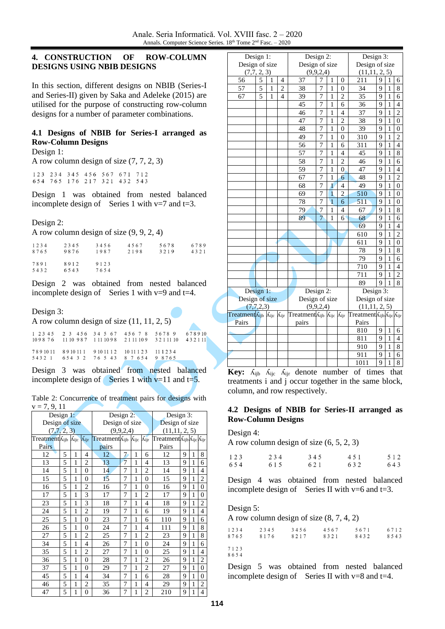## **4. CONSTRUCTION OF ROW-COLUMN DESIGNS USING NBIB DESIGNS**

In this section, different designs on NBIB (Series-I and Series-II) given by Saka and Adeleke (2015) are utilised for the purpose of constructing row-column designs for a number of parameter combinations.

## **4.1 Designs of NBIB for Series-I arranged as Row-Column Designs**

Design 1:

A row column design of size (7, 7, 2, 3)

123 234 345 456 567 671 712<br>654 765 176 217 321 432 543

Design 1 was obtained from nested balanced incomplete design of Series 1 with  $v=7$  and  $t=3$ .

## Design 2:

A row column design of size (9, 9, 2, 4)

| 1234         | 2345         | 3456         | 4567 | 5678 | 6789 |
|--------------|--------------|--------------|------|------|------|
| 8765         | 9876         | 1987         | 2198 | 3219 | 4321 |
| 7891<br>5432 | 8912<br>6543 | 9123<br>7654 |      |      |      |

Design 2 was obtained from nested balanced incomplete design of Series 1 with  $v=9$  and  $t=4$ .

#### Design 3:

A row column design of size (11, 11, 2, 5)

| 1 2 3 4 5 2 3 4 5 6 3 4 5 6 7 4 5 6 7 8 5 6 7 8 9 6 7 8 9 10<br>1098 76 11 10 987 111 1098 21 11 109 3 2 1 11 10 4 3 2 1 11 |  |  |
|-----------------------------------------------------------------------------------------------------------------------------|--|--|
| 7891011 8910111 9101112 1011123 111234<br>5432 1 654 3 2 76 5 43 8 7 654 9 8765                                             |  |  |

Design 3 was obtained from nested balanced incomplete design of Series 1 with  $v=11$  and t=5.

| Table 2: Concurrence of treatment pairs for designs with |  |  |  |  |
|----------------------------------------------------------|--|--|--|--|
| $v = 7, 9, 11$                                           |  |  |  |  |

| $v = 1, 2, 11$          |   |   |                |                                                              |                |   |                |                          |   |   |                  |
|-------------------------|---|---|----------------|--------------------------------------------------------------|----------------|---|----------------|--------------------------|---|---|------------------|
| Design 1:               |   |   |                | Design 2:                                                    |                |   |                | Design 3:                |   |   |                  |
| Design of size          |   |   |                | Design of size                                               |                |   |                | Design of size           |   |   |                  |
| (7,7,2,3)               |   |   |                | (9,9,2,4)                                                    |                |   |                | (11, 11, 2, 5)           |   |   |                  |
| TreatmentAijb Aijc Aijr |   |   |                | Treatment A <sub>ijb</sub> A <sub>ijc</sub> A <sub>ijr</sub> |                |   |                | Treatment Aijb Aijc Aijr |   |   |                  |
| Pairs                   |   |   |                | pairs                                                        |                |   |                | Pairs                    |   |   |                  |
| 12                      | 5 | 1 | 4              | 12                                                           | 7              | 1 | 6              | 12                       | 9 | 1 | 8                |
| 13                      | 5 | 1 | 2              | 13                                                           | $\overline{7}$ | 1 | $\overline{4}$ | 13                       | 9 | 1 | 6                |
| 14                      | 5 | 1 | $\theta$       | 14                                                           | 7              | 1 | $\overline{2}$ | 14                       | 9 | 1 | $\overline{4}$   |
| 15                      | 5 | 1 | $\overline{0}$ | 15                                                           | 7              | 1 | $\overline{0}$ | 15                       | 9 | 1 | $\overline{2}$   |
| 16                      | 5 | 1 | $\overline{2}$ | 16                                                           | 7              | 1 | $\overline{0}$ | 16                       | 9 | 1 | $\boldsymbol{0}$ |
| 17                      | 5 | 1 | 3              | 17                                                           | 7              | 1 | $\overline{c}$ | 17                       | 9 | 1 | $\overline{0}$   |
| 23                      | 5 | 1 | 3              | 18                                                           | 7              | 1 | $\overline{4}$ | 18                       | 9 | 1 | $\overline{c}$   |
| 24                      | 5 | 1 | $\overline{2}$ | 19                                                           | 7              | 1 | 6              | 19                       | 9 | 1 | $\overline{4}$   |
| 25                      | 5 | 1 | $\theta$       | 23                                                           | 7              | 1 | 6              | 110                      | 9 | 1 | 6                |
| 26                      | 5 | 1 | $\overline{0}$ | 24                                                           | 7              | 1 | 4              | 111                      | 9 | 1 | 8                |
| 27                      | 5 | 1 | $\overline{c}$ | 25                                                           | 7              | 1 | $\overline{2}$ | 23                       | 9 | 1 | 8                |
| 34                      | 5 | 1 | $\overline{4}$ | 26                                                           | 7              | 1 | $\theta$       | 24                       | 9 | 1 | 6                |
| 35                      | 5 | 1 | $\overline{c}$ | 27                                                           | 7              | 1 | $\overline{0}$ | 25                       | 9 | 1 | $\overline{4}$   |
| 36                      | 5 | 1 | $\overline{0}$ | 28                                                           | 7              | 1 | $\overline{2}$ | 26                       | 9 | 1 | $\overline{c}$   |
| 37                      | 5 | 1 | $\overline{0}$ | 29                                                           | 7              | 1 | 2              | 27                       | 9 | 1 | $\mathbf{0}$     |
| 45                      | 5 | 1 | 4              | 34                                                           | 7              | 1 | 6              | 28                       | 9 | 1 | $\overline{0}$   |
| 46                      | 5 | 1 | $\overline{c}$ | 35                                                           | 7              | 1 | $\overline{4}$ | 29                       | 9 | 1 | $\overline{c}$   |
| 47                      | 5 | 1 | $\overline{0}$ | 36                                                           | 7              | 1 | $\overline{c}$ | 210                      | 9 | 1 | $\overline{4}$   |

|                                                                                        | Design 1:      |   |                | Design 2:                |                |                |                | Design 3:             |                |              |                  |
|----------------------------------------------------------------------------------------|----------------|---|----------------|--------------------------|----------------|----------------|----------------|-----------------------|----------------|--------------|------------------|
| Design of size                                                                         |                |   |                | Design of size           |                |                |                | Design of size        |                |              |                  |
|                                                                                        | (7,7,2,3)      |   |                |                          | (9,9,2,4)      |                |                | (11, 11, 2, 5)        |                |              |                  |
| 56                                                                                     | 5              | 1 | $\overline{4}$ | 37                       | 7              | 1              | $\overline{0}$ | 211                   | 9              | 1            | 6                |
| 57                                                                                     | $\overline{5}$ | 1 | $\overline{c}$ | 38                       | 7              | 1              | $\theta$       | 34                    | 9              | $\mathbf{1}$ | $\,$ 8 $\,$      |
| 67                                                                                     | 5              | 1 | 4              | 39                       | 7              | $\mathbf{1}$   | $\overline{2}$ | 35                    | 9              | $\mathbf{1}$ | 6                |
|                                                                                        |                |   |                | 45                       | 7              | 1              | 6              | $\overline{36}$       | 9              | $\mathbf{1}$ | $\overline{4}$   |
|                                                                                        |                |   |                | 46                       | $\overline{7}$ | $\mathbf{1}$   | $\overline{4}$ | 37                    | 9              | $\mathbf{1}$ | $\overline{2}$   |
|                                                                                        |                |   |                | 47                       | 7              | $\mathbf{1}$   | $\overline{2}$ | $\overline{38}$       | 9              | $\,1$        | $\overline{0}$   |
|                                                                                        |                |   |                | 48                       | $\overline{7}$ | 1              | $\theta$       | 39                    | 9              | $\mathbf{1}$ | $\theta$         |
|                                                                                        |                |   |                | 49                       | 7              | 1              | $\overline{0}$ | 310                   | 9              | 1            | $\overline{c}$   |
|                                                                                        |                |   |                | 56                       | 7              | 1              | 6              | 311                   | 9              | 1            | $\overline{4}$   |
|                                                                                        |                |   |                | 57                       | 7              | 1              | $\overline{4}$ | 45                    | 9              | $\mathbf{1}$ | 8                |
|                                                                                        |                |   |                | 58                       | 7              | $\mathbf{1}$   | $\overline{c}$ | 46                    | 9              | $\mathbf{1}$ | 6                |
|                                                                                        |                |   |                | 59                       | 7              | 1              | $\theta$       | 47                    | 9              | 1            | $\overline{4}$   |
|                                                                                        |                |   |                | 67                       | 7              | $\mathbf{1}$   | 6              | 48                    | 9              | $\mathbf{1}$ | $\overline{2}$   |
|                                                                                        |                |   |                | 68                       | $\overline{7}$ | $\mathbf{1}$   | $\overline{4}$ | 49                    | 9              | $\mathbf{1}$ | $\overline{0}$   |
|                                                                                        |                |   |                | 69                       | 7              | $\mathbf{1}$   | $\overline{c}$ | 510                   | 9              | $\mathbf{1}$ | $\overline{0}$   |
|                                                                                        |                |   |                | 78                       | $\overline{7}$ | $\overline{1}$ | 6              | 511                   | 9              | $\mathbf{1}$ | $\overline{0}$   |
|                                                                                        |                |   |                | 79                       | $\overline{7}$ | 1              | $\overline{4}$ | 67                    | 9              | $\mathbf{1}$ | 8                |
|                                                                                        |                |   |                | 89                       | 7              | 1              | 6              | 68                    | 9              | $\mathbf{1}$ | 6                |
|                                                                                        |                |   |                |                          |                |                |                | 69                    | 9              | 1            | $\overline{4}$   |
|                                                                                        |                |   |                |                          |                |                |                | 610                   | 9              | 1            | $\overline{c}$   |
|                                                                                        |                |   |                |                          |                |                |                | 611                   | 9              | 1            | $\boldsymbol{0}$ |
|                                                                                        |                |   |                |                          |                |                |                | 78                    | 9              | 1            | 8                |
|                                                                                        |                |   |                |                          |                |                |                | 79                    | 9              | 1            | 6                |
|                                                                                        |                |   |                |                          |                |                |                | 710                   | 9              | $\mathbf{1}$ | $\overline{4}$   |
|                                                                                        |                |   |                |                          |                |                |                | 711                   | 9              | $\mathbf{1}$ | $\overline{c}$   |
|                                                                                        |                |   |                |                          |                |                |                | 89                    | $\overline{Q}$ | $\mathbf{1}$ | 8                |
| Design 1:                                                                              |                |   |                | Design 2:                |                |                |                | Design 3:             |                |              |                  |
| Design of size                                                                         |                |   |                | Design of size           |                |                |                | Design of size        |                |              |                  |
|                                                                                        | (7,7,2,3)      |   |                |                          | (9, 9, 2, 4)   |                |                | (11, 11, 2, 5)        |                |              |                  |
| $Treatment$ $\Lambda$ <sub>ijb</sub> $\Lambda$ <sub>ijc</sub> $\Lambda$ <sub>ijr</sub> |                |   |                | Treatment Aijb Aijc Aijr |                |                |                | TreatmentAijbAijcAijr |                |              |                  |
| Pairs                                                                                  |                |   |                | pairs                    |                |                |                | Pairs                 |                |              |                  |
|                                                                                        |                |   |                |                          |                |                |                | 810                   | 9              | 1            | 6                |
|                                                                                        |                |   |                |                          |                |                |                | 811                   | 9              | $\mathbf{1}$ | $\overline{4}$   |
|                                                                                        |                |   |                |                          |                |                |                | 910                   | 9              | $\mathbf{1}$ | 8                |
|                                                                                        |                |   |                |                          |                |                |                | 911                   | 9              | $\mathbf{1}$ | 6                |
|                                                                                        |                |   |                |                          |                |                |                | 1011                  | 9              | $\mathbf{1}$ | 8                |
|                                                                                        |                |   |                |                          |                |                |                |                       |                |              |                  |

Key:  $\Lambda_{ijb}$   $\Lambda_{ijc}$   $\Lambda_{ijr}$  denote number of times that treatments i and j occur together in the same block, column, and row respectively.

#### **4.2 Designs of NBIB for Series-II arranged as Row-Column Designs**

#### Design 4:

A row column design of size (6, 5, 2, 3)

| 123 | 234   | 345 | 451 | 5 1 2 |
|-----|-------|-----|-----|-------|
| 654 | 6 1 5 | 621 | 632 | 643   |

Design 4 was obtained from nested balanced incomplete design of Series II with  $v=6$  and  $t=3$ .

#### Design 5:

A row column design of size (8, 7, 4, 2)

| 1234         | 2345 | 3456 | 4567 | 5671 | 6712 |
|--------------|------|------|------|------|------|
| 8765         | 8176 | 8217 | 8321 | 8432 | 8543 |
| 7123<br>8654 |      |      |      |      |      |

Design 5 was obtained from nested balanced incomplete design of Series II with  $v=8$  and  $t=4$ .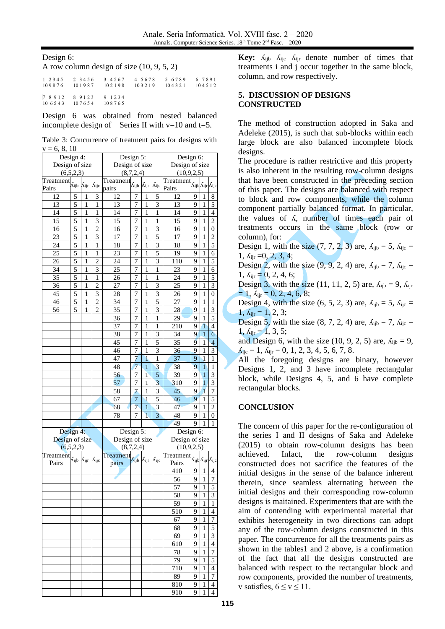Design 6:

A row column design of size (10, 9, 5, 2)

|                                                                   |  | 1 2 3 4 5 6 7 8 9 1 2 3 4 5 6 7 8 9 1 2 3 4 5 6 7 8 9 1 2 3 4 5 6 7 8 9 1<br>109876 101987 102198 103219 104321 104512 |  |
|-------------------------------------------------------------------|--|------------------------------------------------------------------------------------------------------------------------|--|
| 7 8 9 1 2 8 9 1 2 3 9 1 2 3 4<br>10 6 5 4 3 10 7 6 5 4 10 8 7 6 5 |  |                                                                                                                        |  |

Design 6 was obtained from nested balanced incomplete design of Series II with  $v=10$  and t=5.

|                | Table 3: Concurrence of treatment pairs for designs with |  |  |  |
|----------------|----------------------------------------------------------|--|--|--|
| $v = 6, 8, 10$ |                                                          |  |  |  |

| Design 4:                                           |                                   |                          |                 | Design 5:                                           |                     |                 |                         | Design 6:      |   |                |                                                       |  |
|-----------------------------------------------------|-----------------------------------|--------------------------|-----------------|-----------------------------------------------------|---------------------|-----------------|-------------------------|----------------|---|----------------|-------------------------------------------------------|--|
| Design of size                                      |                                   |                          |                 | Design of size                                      |                     |                 |                         | Design of size |   |                |                                                       |  |
|                                                     | (6,5,2,3)                         |                          |                 |                                                     | (8,7,2,4)           |                 |                         | (10, 9, 2, 5)  |   |                |                                                       |  |
| $\overline{\text{Treatment}}_{\hat{\Lambda}_{ijb}}$ |                                   |                          |                 | $\overline{\text{Treatment}}_{\hat{\Lambda}_{ijb}}$ |                     |                 |                         | Treatment      |   |                |                                                       |  |
| Pairs                                               |                                   | $\Lambda_{\mathrm{ijr}}$ | $\Lambda_{ijc}$ | pairs                                               |                     | $\Lambda_{ijr}$ | $\Lambda_{ijc}$         | Pairs          |   |                | $\Lambda_{\rm ijb}\Lambda_{\rm ijr}\Lambda_{\rm ijc}$ |  |
| 12                                                  | 5                                 | 1                        | 3               | 12                                                  | 7                   | 1               | 5                       | 12             | 9 | 1              | 8                                                     |  |
| 13                                                  | 5                                 | 1                        | 1               | 13                                                  | 7                   | 1               | 3                       | 13             | 9 | 1              | 5                                                     |  |
| 14                                                  | 5                                 | $\mathbf{1}$             | $\mathbf{1}$    | 14                                                  | 7                   | 1               | 1                       | 14             | 9 | 1              | $\overline{4}$                                        |  |
| 15                                                  | 5                                 | 1                        | 3               | 15                                                  |                     | 1               | 1                       | 15             | 9 | 1              | $\overline{2}$                                        |  |
| 16                                                  | 5                                 | 1                        | $\overline{2}$  | 16                                                  | 7<br>$\overline{7}$ | $\mathbf{1}$    | $\overline{3}$          | 16             | 9 | 1              | $\boldsymbol{0}$                                      |  |
| 23                                                  | 5                                 | 1                        | 3               | 17                                                  | 7                   | 1               | 5                       | 17             | 9 | 1              | $\overline{c}$                                        |  |
| 24                                                  | 5                                 | 1                        | 1               | 18                                                  | $\overline{7}$      | 1               | 3                       | 18             | 9 | 1              | 5                                                     |  |
| 25                                                  | 5                                 | $\mathbf{1}$             | 1               | 23                                                  | 7                   | 1               | 5                       | 19             | 9 | $\mathbf{1}$   | 6                                                     |  |
| 26                                                  | 5                                 | 1                        | $\overline{c}$  | 24                                                  | $\overline{7}$      | 1               | 3                       | 110            | 9 | 1              | 5                                                     |  |
| $\overline{34}$                                     | 5                                 | $\mathbf{1}$             | $\overline{3}$  | $\overline{25}$                                     | 7                   | $\mathbf{1}$    | 1                       | 23             | 9 | 1              | 6                                                     |  |
| 35                                                  | 5                                 | 1                        | $\,1$           | 26                                                  | 7                   | 1               | 1                       | 24             | 9 | $\mathbf{1}$   | 5                                                     |  |
| 36                                                  | 5                                 | 1                        | $\overline{2}$  |                                                     | 7                   | 1               | 3                       | 25             | 9 | 1              | 3                                                     |  |
|                                                     |                                   |                          |                 | 27                                                  |                     |                 |                         |                |   |                |                                                       |  |
| 45                                                  | 5                                 | 1                        | 3               | 28                                                  | 7                   | 1               | 3                       | 26             | 9 | 1              | $\mathbf{0}$                                          |  |
| 46                                                  | 5                                 | $\mathbf{1}$             | $\overline{2}$  | 34                                                  | 7                   | $\mathbf{1}$    | 5                       | 27             | 9 | 1              | 1                                                     |  |
| 56                                                  | 5                                 | 1                        | $\overline{c}$  | 35                                                  | 7                   | 1               | 3                       | 28             | 9 | $\mathbf{1}$   | $\overline{\mathbf{3}}$                               |  |
|                                                     |                                   |                          |                 | 36                                                  | $\overline{7}$      | $\mathbf{1}$    | 1                       | 29             | 9 | $\mathbf{1}$   | 5                                                     |  |
|                                                     |                                   |                          |                 | 37                                                  | 7                   | 1               | 1                       | 210            | 9 | 1              | 4                                                     |  |
|                                                     |                                   |                          |                 | 38                                                  | 7                   | 1               | 3                       | 34             | 9 | 1              | 6                                                     |  |
|                                                     |                                   |                          |                 | 45                                                  | 7                   | 1               | 5                       | 35             | 9 | $\,1$          | $\overline{4}$                                        |  |
|                                                     |                                   |                          |                 | 46                                                  | $\overline{7}$      | $\mathbf{1}$    | $\overline{3}$          | 36             | 9 | 1              | $\overline{3}$                                        |  |
|                                                     |                                   |                          |                 | 47                                                  | 7                   | $\mathbf{1}$    | 1                       | 37             | 9 | $\overline{1}$ | 1                                                     |  |
|                                                     |                                   |                          |                 | 48                                                  | 7                   | 1               | 3                       | 38             | 9 | 1              | 1                                                     |  |
|                                                     |                                   |                          |                 | 56                                                  | 7                   | $\mathbf{1}$    | 5                       | 39             | 9 | $\overline{1}$ | 3                                                     |  |
|                                                     |                                   |                          |                 | 57                                                  | 7                   | $\mathbf{1}$    | $\overline{3}$          | 310            | 9 | $\overline{1}$ | $\overline{3}$                                        |  |
|                                                     |                                   |                          |                 | 58                                                  | $\overline{7}$      | 1               | 3                       | 45             | 9 | 1              | $\overline{7}$                                        |  |
|                                                     |                                   |                          |                 | 67                                                  | $\overline{7}$      | $\mathbf{1}$    | 5                       | 46             | 9 | $\mathbf{1}$   | 5                                                     |  |
|                                                     |                                   |                          |                 | 68                                                  | $\overline{7}$      | $\mathbf{1}$    | 3                       | 47             | 9 | 1              | $\overline{c}$                                        |  |
|                                                     |                                   |                          |                 | 78                                                  | 7                   | 1               | $\overline{\mathbf{3}}$ | 48             | 9 | 1              | 0                                                     |  |
|                                                     |                                   |                          |                 |                                                     |                     |                 |                         | 49             | 9 | 1              | 1                                                     |  |
| Design 4:                                           |                                   |                          |                 | Design 5:                                           |                     |                 |                         | Design 6:      |   |                |                                                       |  |
| Design of size                                      |                                   |                          |                 | Design of size                                      |                     |                 |                         | Design of size |   |                |                                                       |  |
|                                                     | (6,5,2,3)                         |                          |                 |                                                     | (8,7,2,4)           |                 |                         | (10, 9, 2, 5)  |   |                |                                                       |  |
| Freatment                                           |                                   |                          |                 | Treatment                                           |                     |                 |                         | Treatment      |   |                |                                                       |  |
| Pairs                                               | Л <sub>ijb</sub> Л <sub>ijr</sub> |                          | $\Lambda_{ijc}$ | pairs                                               | $\Lambda$ ijb       | Λijr            | $\Lambda_{ijc}$         | Pairs          |   |                | Aijb Aijr Aijc                                        |  |
|                                                     |                                   |                          |                 |                                                     |                     |                 |                         | 410            | 9 | 1              | $\overline{4}$                                        |  |
|                                                     |                                   |                          |                 |                                                     |                     |                 |                         | 56             | 9 | 1              | 7                                                     |  |
|                                                     |                                   |                          |                 |                                                     |                     |                 |                         | 57             | 9 | $\mathbf{1}$   | 5                                                     |  |
|                                                     |                                   |                          |                 |                                                     |                     |                 |                         | 58             | 9 | 1              | 3                                                     |  |
|                                                     |                                   |                          |                 |                                                     |                     |                 |                         | 59             | 9 | 1              | 1                                                     |  |
|                                                     |                                   |                          |                 |                                                     |                     |                 |                         | 510            | 9 | 1              | $\overline{4}$                                        |  |
|                                                     |                                   |                          |                 |                                                     |                     |                 |                         | 67             | 9 | 1              | $\overline{7}$                                        |  |
|                                                     |                                   |                          |                 |                                                     |                     |                 |                         | 68             | 9 | 1              |                                                       |  |
|                                                     |                                   |                          |                 |                                                     |                     |                 |                         | 69             | 9 | 1              | 5<br>$\overline{\mathbf{3}}$                          |  |
|                                                     |                                   |                          |                 |                                                     |                     |                 |                         |                |   |                | $\overline{4}$                                        |  |
|                                                     |                                   |                          |                 |                                                     |                     |                 |                         | 610            | 9 | 1              |                                                       |  |
|                                                     |                                   |                          |                 |                                                     |                     |                 |                         | 78             | 9 | 1              | $\overline{7}$                                        |  |
|                                                     |                                   |                          |                 |                                                     |                     |                 |                         | 79             | 9 | 1              | 5                                                     |  |
|                                                     |                                   |                          |                 |                                                     |                     |                 |                         | 710            | 9 | 1              | 4                                                     |  |
|                                                     |                                   |                          |                 |                                                     |                     |                 |                         | 89             | 9 | 1              | 7                                                     |  |
|                                                     |                                   |                          |                 |                                                     |                     |                 |                         | 810            | 9 | 1              | 4                                                     |  |
|                                                     |                                   |                          |                 |                                                     |                     |                 |                         | 910            | 9 | 1              | 4                                                     |  |

**Key:**  $\Lambda_{ijb}$   $\Lambda_{ijc}$   $\Lambda_{ijr}$  denote number of times that treatments i and j occur together in the same block, column, and row respectively.

## **5. DISCUSSION OF DESIGNS CONSTRUCTED**

The method of construction adopted in Saka and Adeleke (2015), is such that sub-blocks within each large block are also balanced incomplete block designs.

The procedure is rather restrictive and this property is also inherent in the resulting row-column designs that have been constructed in the preceding section of this paper. The designs are balanced with respect to block and row components, while the column component partially balanced format. In particular, the values of ʎ, number of times each pair of treatments occurs in the same block (row or column), for:

Design 1, with the size  $(7, 7, 2, 3)$  are,  $\lambda_{\text{iib}} = 5$ ,  $\lambda_{\text{iic}} =$  $1, \Lambda_{ijr} = 0, 2, 3, 4;$ 

Design 2, with the size  $(9, 9, 2, 4)$  are,  $\lambda_{ijb} = 7$ ,  $\lambda_{ijc} =$  $1, \Delta_{\text{ir}} = 0, 2, 4, 6;$ 

Design 3, with the size (11, 11, 2, 5) are,  $\lambda_{\rm{iib}} = 9$ ,  $\lambda_{\rm{iic}}$  $= 1, \Delta_{\text{ijr}} = 0, 2, 4, 6, 8;$ 

Design 4, with the size  $(6, 5, 2, 3)$  are,  $\lambda_{\text{lib}} = 5$ ,  $\lambda_{\text{lic}} =$  $1, \Lambda_{ijr} = 1, 2, 3;$ 

Design 5, with the size  $(8, 7, 2, 4)$  are,  $\lambda_{\text{lib}} = 7$ ,  $\lambda_{\text{lic}} =$  $1, \Lambda_{\text{ir}} = 1, 3, 5;$ 

and Design 6, with the size (10, 9, 2, 5) are,  $\Lambda_{\text{lib}} = 9$ ,  $\Lambda_{ijc} = 1, \Lambda_{ijr} = 0, 1, 2, 3, 4, 5, 6, 7, 8.$ 

All the foregoing designs are binary, however Designs 1, 2, and 3 have incomplete rectangular block, while Designs 4, 5, and 6 have complete rectangular blocks.

## **CONCLUSION**

The concern of this paper for the re-configuration of the series I and II designs of Saka and Adeleke (2015) to obtain row-column designs has been achieved. Infact, the row-column designs constructed does not sacrifice the features of the initial designs in the sense of the balance inherent therein, since seamless alternating between the initial designs and their corresponding row-column designs is maitained. Experimenters that are with the aim of contending with experimental material that exhibits heterogeneity in two directions can adopt any of the row-column designs constructed in this paper. The concurrence for all the treatments pairs as shown in the tables1 and 2 above, is a confirmation of the fact that all the designs constructed are balanced with respect to the rectangular block and row components, provided the number of treatments, v satisfies,  $6 \le v \le 11$ .